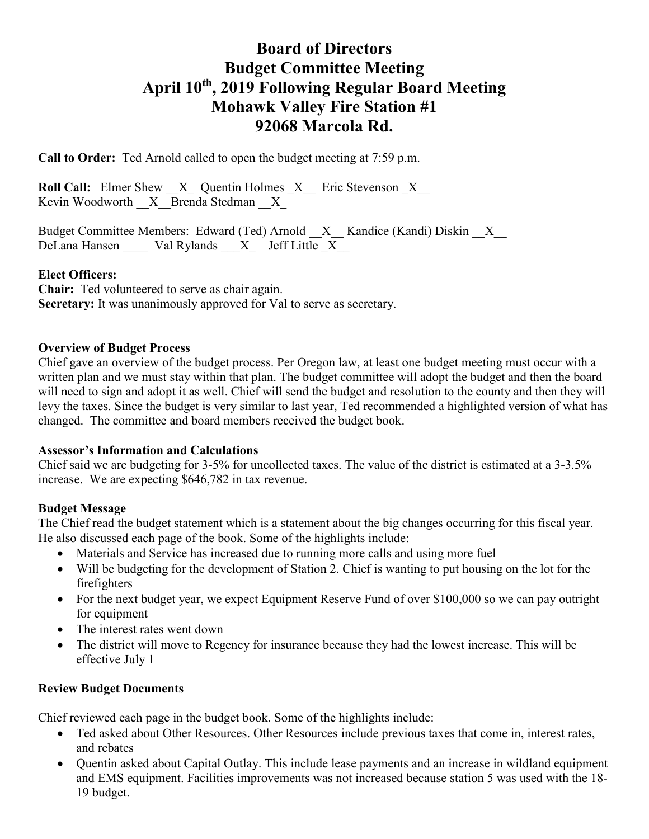# **Board of Directors Budget Committee Meeting April 10th, 2019 Following Regular Board Meeting Mohawk Valley Fire Station #1 92068 Marcola Rd.**

**Call to Order:** Ted Arnold called to open the budget meeting at 7:59 p.m.

**Roll Call:** Elmer Shew  $X$  Quentin Holmes  $X$  Eric Stevenson  $X$ Kevin Woodworth  $\quad X$  Brenda Stedman  $\quad X$ 

Budget Committee Members: Edward (Ted) Arnold \_\_X\_\_ Kandice (Kandi) Diskin \_\_X\_\_ DeLana Hansen  $\qquad$  Val Rylands  $\qquad$  X  $\qquad$  Jeff Little X

### **Elect Officers:**

**Chair:** Ted volunteered to serve as chair again. **Secretary:** It was unanimously approved for Val to serve as secretary.

#### **Overview of Budget Process**

Chief gave an overview of the budget process. Per Oregon law, at least one budget meeting must occur with a written plan and we must stay within that plan. The budget committee will adopt the budget and then the board will need to sign and adopt it as well. Chief will send the budget and resolution to the county and then they will levy the taxes. Since the budget is very similar to last year, Ted recommended a highlighted version of what has changed. The committee and board members received the budget book.

#### **Assessor's Information and Calculations**

Chief said we are budgeting for 3-5% for uncollected taxes. The value of the district is estimated at a 3-3.5% increase. We are expecting \$646,782 in tax revenue.

#### **Budget Message**

The Chief read the budget statement which is a statement about the big changes occurring for this fiscal year. He also discussed each page of the book. Some of the highlights include:

- Materials and Service has increased due to running more calls and using more fuel
- Will be budgeting for the development of Station 2. Chief is wanting to put housing on the lot for the firefighters
- For the next budget year, we expect Equipment Reserve Fund of over \$100,000 so we can pay outright for equipment
- The interest rates went down
- The district will move to Regency for insurance because they had the lowest increase. This will be effective July 1

#### **Review Budget Documents**

Chief reviewed each page in the budget book. Some of the highlights include:

- Ted asked about Other Resources. Other Resources include previous taxes that come in, interest rates, and rebates
- Quentin asked about Capital Outlay. This include lease payments and an increase in wildland equipment and EMS equipment. Facilities improvements was not increased because station 5 was used with the 18- 19 budget.